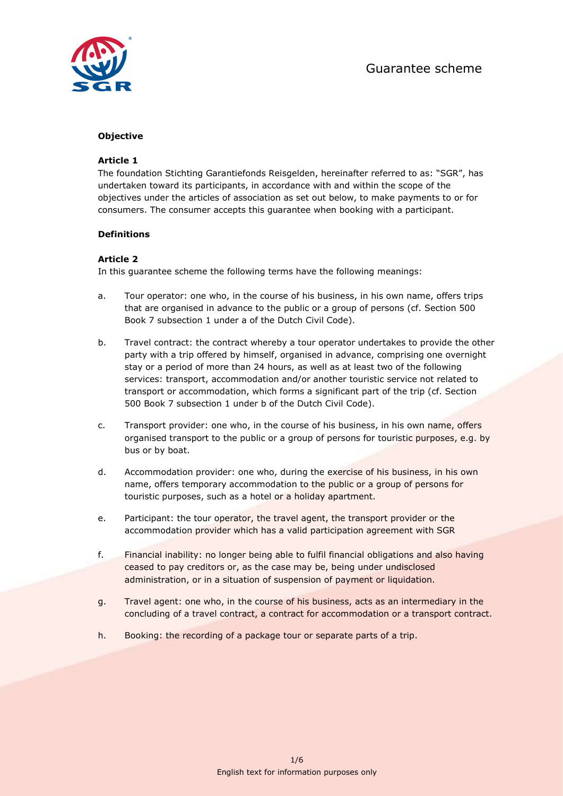

# Objective

## Article 1

The foundation Stichting Garantiefonds Reisgelden, hereinafter referred to as: "SGR", has undertaken toward its participants, in accordance with and within the scope of the objectives under the articles of association as set out below, to make payments to or for consumers. The consumer accepts this guarantee when booking with a participant.

#### Definitions

#### Article 2

In this guarantee scheme the following terms have the following meanings:

- a. Tour operator: one who, in the course of his business, in his own name, offers trips that are organised in advance to the public or a group of persons (cf. Section 500 Book 7 subsection 1 under a of the Dutch Civil Code).
- b. Travel contract: the contract whereby a tour operator undertakes to provide the other party with a trip offered by himself, organised in advance, comprising one overnight stay or a period of more than 24 hours, as well as at least two of the following services: transport, accommodation and/or another touristic service not related to transport or accommodation, which forms a significant part of the trip (cf. Section 500 Book 7 subsection 1 under b of the Dutch Civil Code).
- c. Transport provider: one who, in the course of his business, in his own name, offers organised transport to the public or a group of persons for touristic purposes, e.g. by bus or by boat.
- d. Accommodation provider: one who, during the exercise of his business, in his own name, offers temporary accommodation to the public or a group of persons for touristic purposes, such as a hotel or a holiday apartment.
- e. Participant: the tour operator, the travel agent, the transport provider or the accommodation provider which has a valid participation agreement with SGR
- f. Financial inability: no longer being able to fulfil financial obligations and also having ceased to pay creditors or, as the case may be, being under undisclosed administration, or in a situation of suspension of payment or liquidation.
- g. Travel agent: one who, in the course of his business, acts as an intermediary in the concluding of a travel contract, a contract for accommodation or a transport contract.
- h. Booking: the recording of a package tour or separate parts of a trip.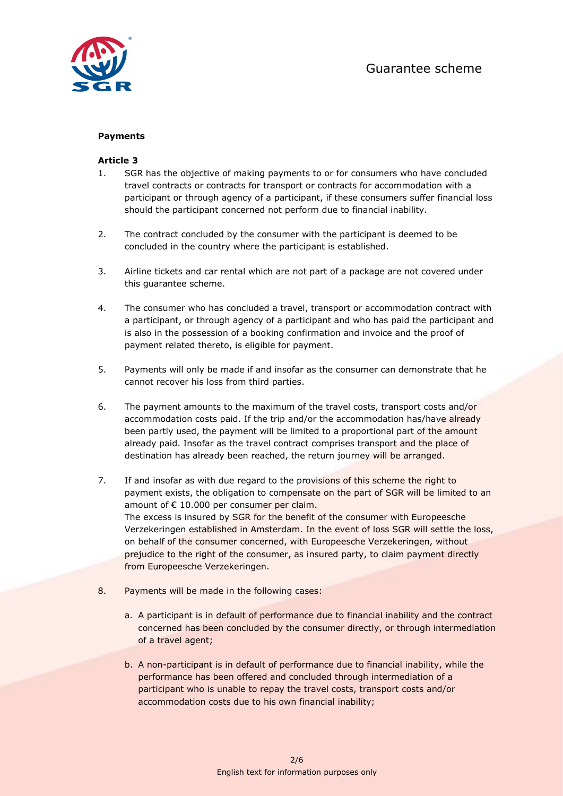

# Payments

## Article 3

- 1. SGR has the objective of making payments to or for consumers who have concluded travel contracts or contracts for transport or contracts for accommodation with a participant or through agency of a participant, if these consumers suffer financial loss should the participant concerned not perform due to financial inability.
- 2. The contract concluded by the consumer with the participant is deemed to be concluded in the country where the participant is established.
- 3. Airline tickets and car rental which are not part of a package are not covered under this guarantee scheme.
- 4. The consumer who has concluded a travel, transport or accommodation contract with a participant, or through agency of a participant and who has paid the participant and is also in the possession of a booking confirmation and invoice and the proof of payment related thereto, is eligible for payment.
- 5. Payments will only be made if and insofar as the consumer can demonstrate that he cannot recover his loss from third parties.
- 6. The payment amounts to the maximum of the travel costs, transport costs and/or accommodation costs paid. If the trip and/or the accommodation has/have already been partly used, the payment will be limited to a proportional part of the amount already paid. Insofar as the travel contract comprises transport and the place of destination has already been reached, the return journey will be arranged.
- 7. If and insofar as with due regard to the provisions of this scheme the right to payment exists, the obligation to compensate on the part of SGR will be limited to an amount of € 10.000 per consumer per claim. The excess is insured by SGR for the benefit of the consumer with Europeesche Verzekeringen established in Amsterdam. In the event of loss SGR will settle the loss, on behalf of the consumer concerned, with Europeesche Verzekeringen, without prejudice to the right of the consumer, as insured party, to claim payment directly from Europeesche Verzekeringen.
- 8. Payments will be made in the following cases:
	- a. A participant is in default of performance due to financial inability and the contract concerned has been concluded by the consumer directly, or through intermediation of a travel agent;
	- b. A non-participant is in default of performance due to financial inability, while the performance has been offered and concluded through intermediation of a participant who is unable to repay the travel costs, transport costs and/or accommodation costs due to his own financial inability;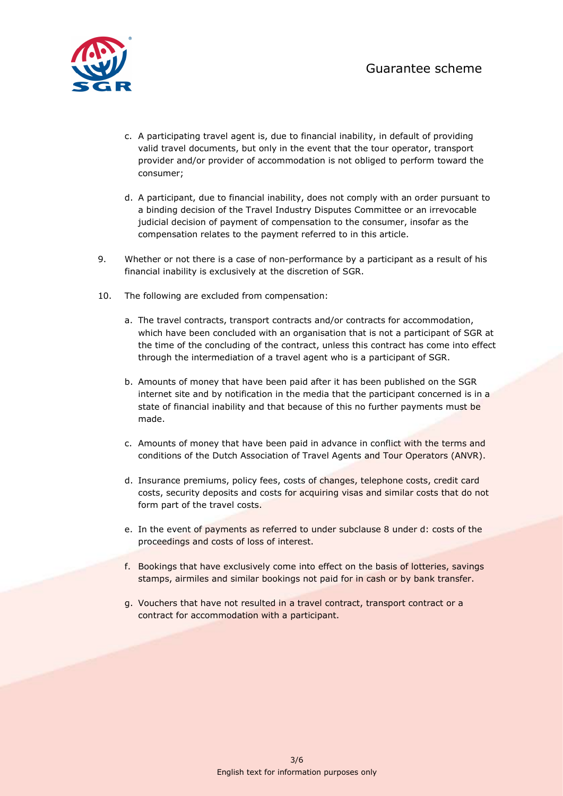

- c. A participating travel agent is, due to financial inability, in default of providing valid travel documents, but only in the event that the tour operator, transport provider and/or provider of accommodation is not obliged to perform toward the consumer;
- d. A participant, due to financial inability, does not comply with an order pursuant to a binding decision of the Travel Industry Disputes Committee or an irrevocable judicial decision of payment of compensation to the consumer, insofar as the compensation relates to the payment referred to in this article.
- 9. Whether or not there is a case of non-performance by a participant as a result of his financial inability is exclusively at the discretion of SGR.
- 10. The following are excluded from compensation:
	- a. The travel contracts, transport contracts and/or contracts for accommodation, which have been concluded with an organisation that is not a participant of SGR at the time of the concluding of the contract, unless this contract has come into effect through the intermediation of a travel agent who is a participant of SGR.
	- b. Amounts of money that have been paid after it has been published on the SGR internet site and by notification in the media that the participant concerned is in a state of financial inability and that because of this no further payments must be made.
	- c. Amounts of money that have been paid in advance in conflict with the terms and conditions of the Dutch Association of Travel Agents and Tour Operators (ANVR).
	- d. Insurance premiums, policy fees, costs of changes, telephone costs, credit card costs, security deposits and costs for acquiring visas and similar costs that do not form part of the travel costs.
	- e. In the event of payments as referred to under subclause 8 under d: costs of the proceedings and costs of loss of interest.
	- f. Bookings that have exclusively come into effect on the basis of lotteries, savings stamps, airmiles and similar bookings not paid for in cash or by bank transfer.
	- g. Vouchers that have not resulted in a travel contract, transport contract or a contract for accommodation with a participant.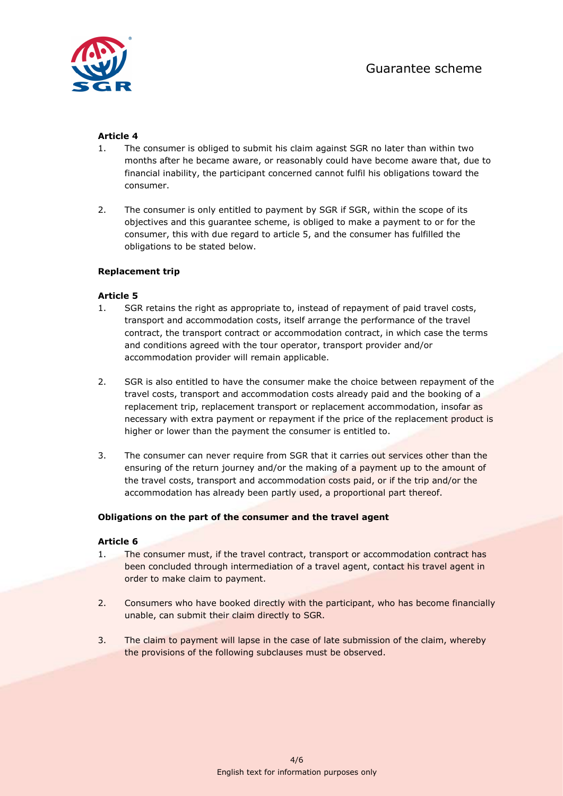

# Article 4

- 1. The consumer is obliged to submit his claim against SGR no later than within two months after he became aware, or reasonably could have become aware that, due to financial inability, the participant concerned cannot fulfil his obligations toward the consumer.
- 2. The consumer is only entitled to payment by SGR if SGR, within the scope of its objectives and this guarantee scheme, is obliged to make a payment to or for the consumer, this with due regard to article 5, and the consumer has fulfilled the obligations to be stated below.

# Replacement trip

# Article 5

- 1. SGR retains the right as appropriate to, instead of repayment of paid travel costs, transport and accommodation costs, itself arrange the performance of the travel contract, the transport contract or accommodation contract, in which case the terms and conditions agreed with the tour operator, transport provider and/or accommodation provider will remain applicable.
- 2. SGR is also entitled to have the consumer make the choice between repayment of the travel costs, transport and accommodation costs already paid and the booking of a replacement trip, replacement transport or replacement accommodation, insofar as necessary with extra payment or repayment if the price of the replacement product is higher or lower than the payment the consumer is entitled to.
- 3. The consumer can never require from SGR that it carries out services other than the ensuring of the return journey and/or the making of a payment up to the amount of the travel costs, transport and accommodation costs paid, or if the trip and/or the accommodation has already been partly used, a proportional part thereof.

## Obligations on the part of the consumer and the travel agent

## Article 6

- 1. The consumer must, if the travel contract, transport or accommodation contract has been concluded through intermediation of a travel agent, contact his travel agent in order to make claim to payment.
- 2. Consumers who have booked directly with the participant, who has become financially unable, can submit their claim directly to SGR.
- 3. The claim to payment will lapse in the case of late submission of the claim, whereby the provisions of the following subclauses must be observed.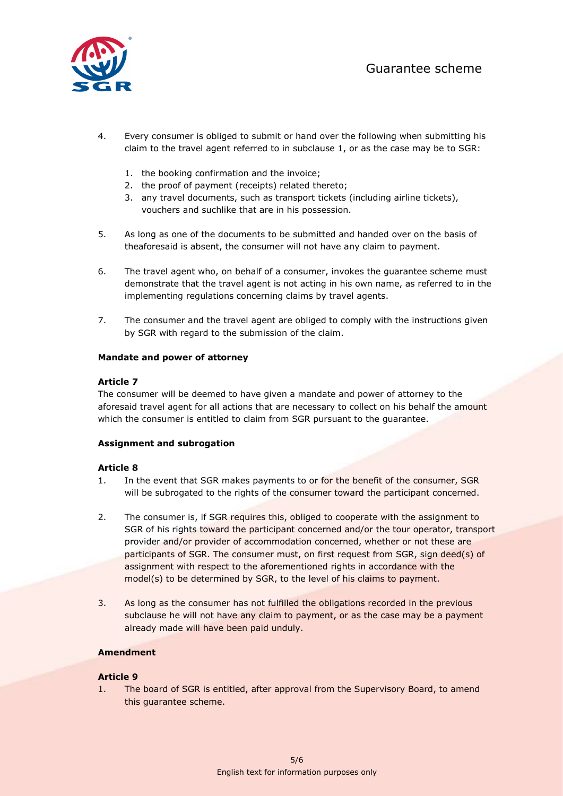

- 4. Every consumer is obliged to submit or hand over the following when submitting his claim to the travel agent referred to in subclause 1, or as the case may be to SGR:
	- 1. the booking confirmation and the invoice;
	- 2. the proof of payment (receipts) related thereto;
	- 3. any travel documents, such as transport tickets (including airline tickets), vouchers and suchlike that are in his possession.
- 5. As long as one of the documents to be submitted and handed over on the basis of theaforesaid is absent, the consumer will not have any claim to payment.
- 6. The travel agent who, on behalf of a consumer, invokes the guarantee scheme must demonstrate that the travel agent is not acting in his own name, as referred to in the implementing regulations concerning claims by travel agents.
- 7. The consumer and the travel agent are obliged to comply with the instructions given by SGR with regard to the submission of the claim.

#### Mandate and power of attorney

#### Article 7

The consumer will be deemed to have given a mandate and power of attorney to the aforesaid travel agent for all actions that are necessary to collect on his behalf the amount which the consumer is entitled to claim from SGR pursuant to the guarantee.

## Assignment and subrogation

#### Article 8

- 1. In the event that SGR makes payments to or for the benefit of the consumer, SGR will be subrogated to the rights of the consumer toward the participant concerned.
- 2. The consumer is, if SGR requires this, obliged to cooperate with the assignment to SGR of his rights toward the participant concerned and/or the tour operator, transport provider and/or provider of accommodation concerned, whether or not these are participants of SGR. The consumer must, on first request from SGR, sign deed(s) of assignment with respect to the aforementioned rights in accordance with the model(s) to be determined by SGR, to the level of his claims to payment.
- 3. As long as the consumer has not fulfilled the obligations recorded in the previous subclause he will not have any claim to payment, or as the case may be a payment already made will have been paid unduly.

## Amendment

## Article 9

1. The board of SGR is entitled, after approval from the Supervisory Board, to amend this guarantee scheme.